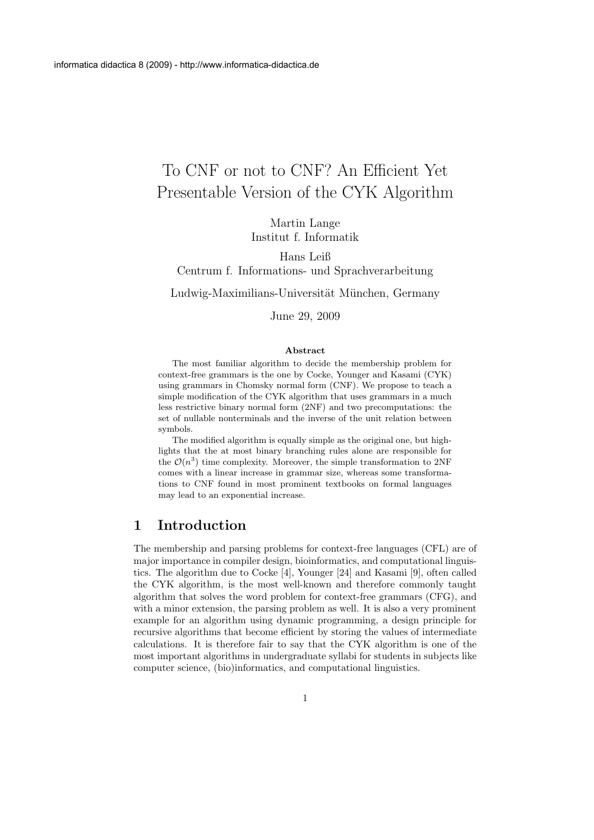# To CNF or not to CNF? An Efficient Yet Presentable Version of the CYK Algorithm

Martin Lange Institut f. Informatik

Hans Leiß Centrum f. Informations- und Sprachverarbeitung

Ludwig-Maximilians-Universität München, Germany

June 29, 2009

#### Abstract

The most familiar algorithm to decide the membership problem for context-free grammars is the one by Cocke, Younger and Kasami (CYK) using grammars in Chomsky normal form (CNF). We propose to teach a simple modification of the CYK algorithm that uses grammars in a much less restrictive binary normal form (2NF) and two precomputations: the set of nullable nonterminals and the inverse of the unit relation between symbols.

The modified algorithm is equally simple as the original one, but highlights that the at most binary branching rules alone are responsible for the  $\mathcal{O}(n^3)$  time complexity. Moreover, the simple transformation to 2NF comes with a linear increase in grammar size, whereas some transformations to CNF found in most prominent textbooks on formal languages may lead to an exponential increase.

## 1 Introduction

The membership and parsing problems for context-free languages (CFL) are of major importance in compiler design, bioinformatics, and computational linguistics. The algorithm due to Cocke [4], Younger [24] and Kasami [9], often called the CYK algorithm, is the most well-known and therefore commonly taught algorithm that solves the word problem for context-free grammars (CFG), and with a minor extension, the parsing problem as well. It is also a very prominent example for an algorithm using dynamic programming, a design principle for recursive algorithms that become efficient by storing the values of intermediate calculations. It is therefore fair to say that the CYK algorithm is one of the most important algorithms in undergraduate syllabi for students in subjects like computer science, (bio)informatics, and computational linguistics.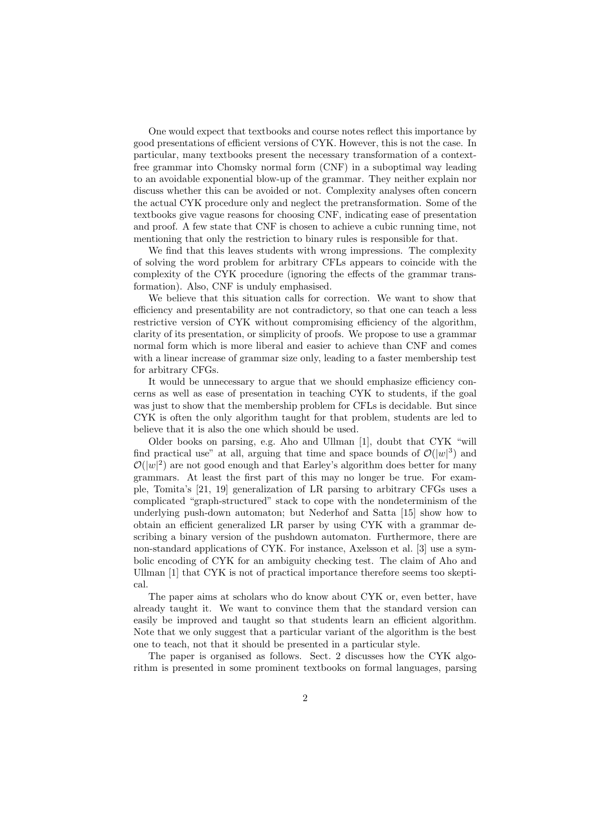One would expect that textbooks and course notes reflect this importance by good presentations of efficient versions of CYK. However, this is not the case. In particular, many textbooks present the necessary transformation of a contextfree grammar into Chomsky normal form (CNF) in a suboptimal way leading to an avoidable exponential blow-up of the grammar. They neither explain nor discuss whether this can be avoided or not. Complexity analyses often concern the actual CYK procedure only and neglect the pretransformation. Some of the textbooks give vague reasons for choosing CNF, indicating ease of presentation and proof. A few state that CNF is chosen to achieve a cubic running time, not mentioning that only the restriction to binary rules is responsible for that.

We find that this leaves students with wrong impressions. The complexity of solving the word problem for arbitrary CFLs appears to coincide with the complexity of the CYK procedure (ignoring the effects of the grammar transformation). Also, CNF is unduly emphasised.

We believe that this situation calls for correction. We want to show that efficiency and presentability are not contradictory, so that one can teach a less restrictive version of CYK without compromising efficiency of the algorithm, clarity of its presentation, or simplicity of proofs. We propose to use a grammar normal form which is more liberal and easier to achieve than CNF and comes with a linear increase of grammar size only, leading to a faster membership test for arbitrary CFGs.

It would be unnecessary to argue that we should emphasize efficiency concerns as well as ease of presentation in teaching CYK to students, if the goal was just to show that the membership problem for CFLs is decidable. But since CYK is often the only algorithm taught for that problem, students are led to believe that it is also the one which should be used.

Older books on parsing, e.g. Aho and Ullman [1], doubt that CYK "will find practical use" at all, arguing that time and space bounds of  $\mathcal{O}(|w|^3)$  and  $\mathcal{O}(|w|^2)$  are not good enough and that Earley's algorithm does better for many grammars. At least the first part of this may no longer be true. For example, Tomita's [21, 19] generalization of LR parsing to arbitrary CFGs uses a complicated "graph-structured" stack to cope with the nondeterminism of the underlying push-down automaton; but Nederhof and Satta [15] show how to obtain an efficient generalized LR parser by using CYK with a grammar describing a binary version of the pushdown automaton. Furthermore, there are non-standard applications of CYK. For instance, Axelsson et al. [3] use a symbolic encoding of CYK for an ambiguity checking test. The claim of Aho and Ullman [1] that CYK is not of practical importance therefore seems too skeptical.

The paper aims at scholars who do know about CYK or, even better, have already taught it. We want to convince them that the standard version can easily be improved and taught so that students learn an efficient algorithm. Note that we only suggest that a particular variant of the algorithm is the best one to teach, not that it should be presented in a particular style.

The paper is organised as follows. Sect. 2 discusses how the CYK algorithm is presented in some prominent textbooks on formal languages, parsing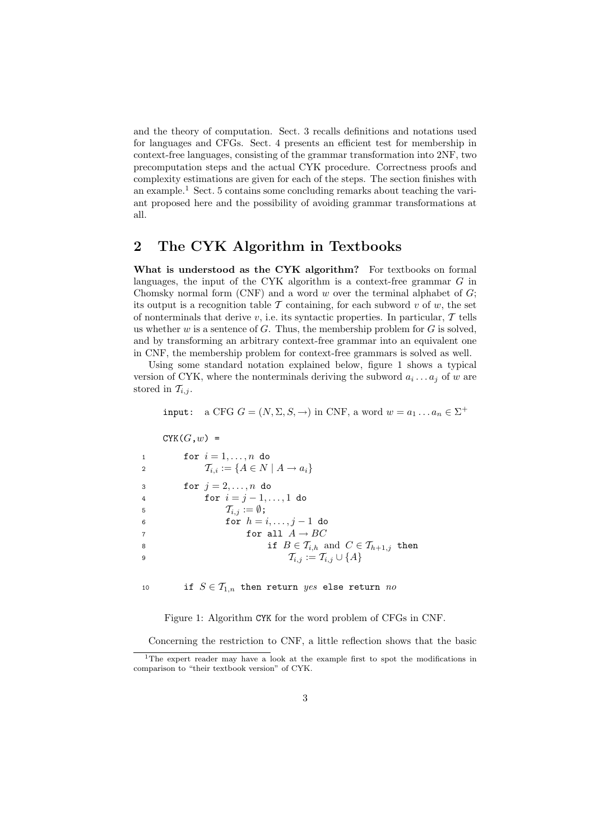and the theory of computation. Sect. 3 recalls definitions and notations used for languages and CFGs. Sect. 4 presents an efficient test for membership in context-free languages, consisting of the grammar transformation into 2NF, two precomputation steps and the actual CYK procedure. Correctness proofs and complexity estimations are given for each of the steps. The section finishes with an example.<sup>1</sup> Sect. 5 contains some concluding remarks about teaching the variant proposed here and the possibility of avoiding grammar transformations at all.

# 2 The CYK Algorithm in Textbooks

What is understood as the CYK algorithm? For textbooks on formal languages, the input of the CYK algorithm is a context-free grammar G in Chomsky normal form  $(CNF)$  and a word w over the terminal alphabet of  $G$ ; its output is a recognition table  $\mathcal T$  containing, for each subword  $v$  of  $w$ , the set of nonterminals that derive  $v$ , i.e. its syntactic properties. In particular,  $T$  tells us whether  $w$  is a sentence of  $G$ . Thus, the membership problem for  $G$  is solved, and by transforming an arbitrary context-free grammar into an equivalent one in CNF, the membership problem for context-free grammars is solved as well.

Using some standard notation explained below, figure 1 shows a typical version of CYK, where the nonterminals deriving the subword  $a_i \dots a_j$  of w are stored in  $\mathcal{T}_{i,j}$ .

input: a CFG  $G = (N, \Sigma, S, \rightarrow)$  in CNF, a word  $w = a_1 \dots a_n \in \Sigma^+$ 

 $CYK(G,w)$  =

| $\overline{1}$ | for $i=1,\ldots,n$ do                                             |
|----------------|-------------------------------------------------------------------|
| $\overline{2}$ | $\mathcal{T}_{i,i} := \{A \in N \mid A \rightarrow a_i\}$         |
| $\mathbf{3}$   | for $j=2,\ldots,n$ do                                             |
| $\overline{4}$ | for $i = j - 1, , 1$ do                                           |
| -5             | $\mathcal{T}_{i,j} := \emptyset$ ;                                |
| - 6            | for $h = i, \ldots, j - 1$ do                                     |
|                | for all $A \rightarrow BC$                                        |
| 8              | if $B \in \mathcal{T}_{i,h}$ and $C \in \mathcal{T}_{h+1,j}$ then |
| 9              | $\mathcal{T}_{i,j} := \mathcal{T}_{i,j} \cup \{A\}$               |

10 if  $S \in \mathcal{T}_{1,n}$  then return yes else return no

Figure 1: Algorithm CYK for the word problem of CFGs in CNF.

Concerning the restriction to CNF, a little reflection shows that the basic

<sup>&</sup>lt;sup>1</sup>The expert reader may have a look at the example first to spot the modifications in comparison to "their textbook version" of CYK.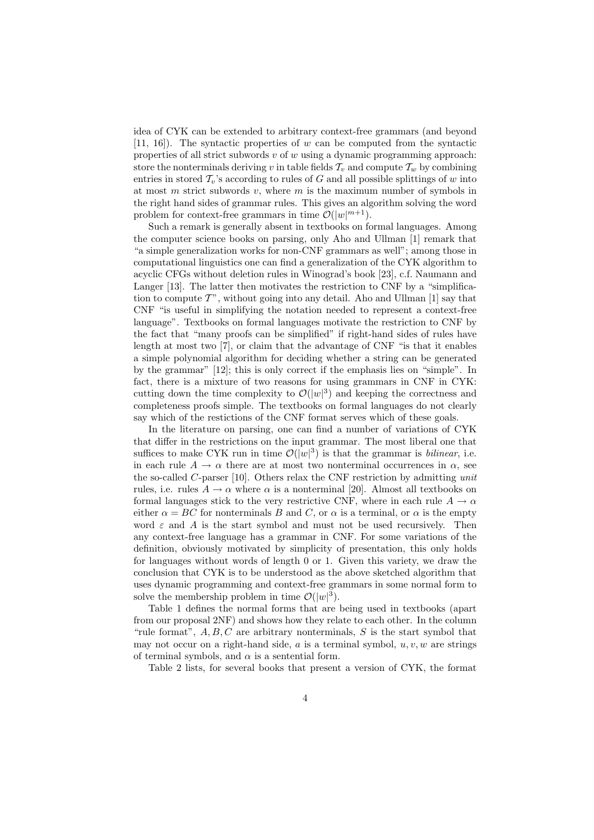idea of CYK can be extended to arbitrary context-free grammars (and beyond  $[11, 16]$ . The syntactic properties of w can be computed from the syntactic properties of all strict subwords  $v$  of  $w$  using a dynamic programming approach: store the nonterminals deriving v in table fields  $\mathcal{T}_v$  and compute  $\mathcal{T}_w$  by combining entries in stored  $\mathcal{T}_v$ 's according to rules of G and all possible splittings of w into at most  $m$  strict subwords  $v$ , where  $m$  is the maximum number of symbols in the right hand sides of grammar rules. This gives an algorithm solving the word problem for context-free grammars in time  $\mathcal{O}(|w|^{m+1})$ .

Such a remark is generally absent in textbooks on formal languages. Among the computer science books on parsing, only Aho and Ullman [1] remark that "a simple generalization works for non-CNF grammars as well"; among those in computational linguistics one can find a generalization of the CYK algorithm to acyclic CFGs without deletion rules in Winograd's book [23], c.f. Naumann and Langer [13]. The latter then motivates the restriction to CNF by a "simplification to compute  $T$ ", without going into any detail. Aho and Ullman [1] say that CNF "is useful in simplifying the notation needed to represent a context-free language". Textbooks on formal languages motivate the restriction to CNF by the fact that "many proofs can be simplified" if right-hand sides of rules have length at most two [7], or claim that the advantage of CNF "is that it enables a simple polynomial algorithm for deciding whether a string can be generated by the grammar" [12]; this is only correct if the emphasis lies on "simple". In fact, there is a mixture of two reasons for using grammars in CNF in CYK: cutting down the time complexity to  $\mathcal{O}(|w|^3)$  and keeping the correctness and completeness proofs simple. The textbooks on formal languages do not clearly say which of the restictions of the CNF format serves which of these goals.

In the literature on parsing, one can find a number of variations of CYK that differ in the restrictions on the input grammar. The most liberal one that suffices to make CYK run in time  $\mathcal{O}(|w|^3)$  is that the grammar is *bilinear*, i.e. in each rule  $A \rightarrow \alpha$  there are at most two nonterminal occurrences in  $\alpha$ , see the so-called C-parser [10]. Others relax the CNF restriction by admitting unit rules, i.e. rules  $A \to \alpha$  where  $\alpha$  is a nonterminal [20]. Almost all textbooks on formal languages stick to the very restrictive CNF, where in each rule  $A \rightarrow \alpha$ either  $\alpha = BC$  for nonterminals B and C, or  $\alpha$  is a terminal, or  $\alpha$  is the empty word  $\varepsilon$  and A is the start symbol and must not be used recursively. Then any context-free language has a grammar in CNF. For some variations of the definition, obviously motivated by simplicity of presentation, this only holds for languages without words of length 0 or 1. Given this variety, we draw the conclusion that CYK is to be understood as the above sketched algorithm that uses dynamic programming and context-free grammars in some normal form to solve the membership problem in time  $\mathcal{O}(|w|^3)$ .

Table 1 defines the normal forms that are being used in textbooks (apart from our proposal 2NF) and shows how they relate to each other. In the column "rule format",  $A, B, C$  are arbitrary nonterminals,  $S$  is the start symbol that may not occur on a right-hand side,  $a$  is a terminal symbol,  $u, v, w$  are strings of terminal symbols, and  $\alpha$  is a sentential form.

Table 2 lists, for several books that present a version of CYK, the format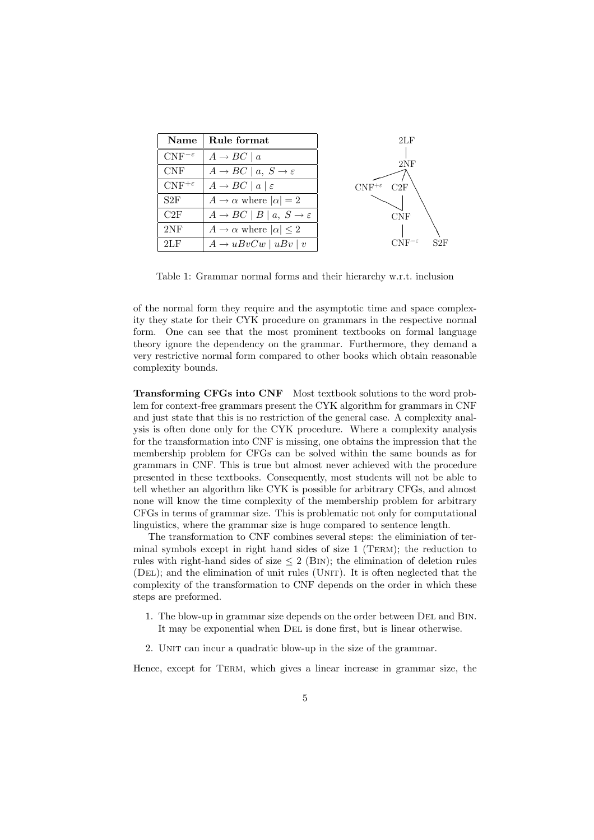| Name                 | Rule format                                                 | 2LF                                  |
|----------------------|-------------------------------------------------------------|--------------------------------------|
| $CNF^{-\varepsilon}$ | $A \rightarrow BC \mid a$                                   | 2NF                                  |
| <b>CNF</b>           | $A \rightarrow BC \mid a, S \rightarrow \varepsilon$        |                                      |
| $CNF^{+\varepsilon}$ | $A \rightarrow BC \mid a \mid \varepsilon$                  | $\mathrm{CNF^{+\varepsilon}}$<br>C2F |
| S2F                  | $A \rightarrow \alpha$ where $ \alpha  = 2$                 |                                      |
| C2F                  | $A \rightarrow BC \mid B \mid a, S \rightarrow \varepsilon$ | CNF                                  |
| 2NF                  | $A \rightarrow \alpha$ where $ \alpha  \leq 2$              |                                      |
| 2LF                  | $A \rightarrow u B v C w$   $u B v$   $v$                   | $CNF^{-\varepsilon}$<br>S2F          |

Table 1: Grammar normal forms and their hierarchy w.r.t. inclusion

of the normal form they require and the asymptotic time and space complexity they state for their CYK procedure on grammars in the respective normal form. One can see that the most prominent textbooks on formal language theory ignore the dependency on the grammar. Furthermore, they demand a very restrictive normal form compared to other books which obtain reasonable complexity bounds.

Transforming CFGs into CNF Most textbook solutions to the word problem for context-free grammars present the CYK algorithm for grammars in CNF and just state that this is no restriction of the general case. A complexity analysis is often done only for the CYK procedure. Where a complexity analysis for the transformation into CNF is missing, one obtains the impression that the membership problem for CFGs can be solved within the same bounds as for grammars in CNF. This is true but almost never achieved with the procedure presented in these textbooks. Consequently, most students will not be able to tell whether an algorithm like CYK is possible for arbitrary CFGs, and almost none will know the time complexity of the membership problem for arbitrary CFGs in terms of grammar size. This is problematic not only for computational linguistics, where the grammar size is huge compared to sentence length.

The transformation to CNF combines several steps: the eliminiation of terminal symbols except in right hand sides of size 1 (Term); the reduction to rules with right-hand sides of size  $\leq 2$  (BIN); the elimination of deletion rules (DEL); and the elimination of unit rules (UNIT). It is often neglected that the complexity of the transformation to CNF depends on the order in which these steps are preformed.

- 1. The blow-up in grammar size depends on the order between Del and Bin. It may be exponential when Del is done first, but is linear otherwise.
- 2. UNIT can incur a quadratic blow-up in the size of the grammar.

Hence, except for Term, which gives a linear increase in grammar size, the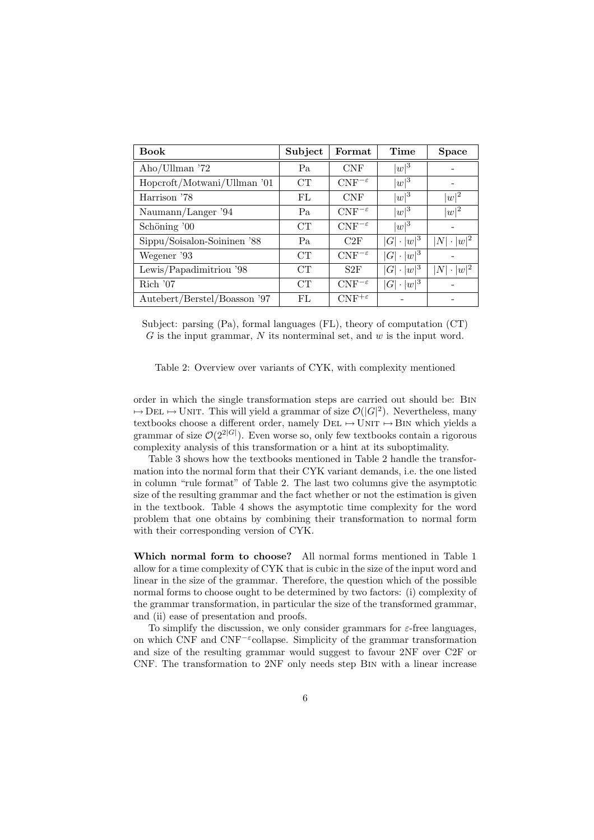| <b>Book</b>                  | Subject | Format               | Time                   | <b>Space</b>                |
|------------------------------|---------|----------------------|------------------------|-----------------------------|
| Aho/Ullman '72               | Pa      | <b>CNF</b>           | $ w ^3$                |                             |
| Hopcroft/Motwani/Ullman '01  | CT      | $CNF^{-\varepsilon}$ | $ w ^3$                |                             |
| Harrison '78                 | FL      | <b>CNF</b>           | $ w ^3$                | $ w ^2$                     |
| Naumann/Langer '94           | Pa      | $CNF^{-\varepsilon}$ | $ w ^3$                | $ w ^2$                     |
| Schöning '00                 | CT      | $CNF^{-\varepsilon}$ | $ w ^3$                |                             |
| Sippu/Soisalon-Soininen '88  | Pa      | C2F                  | $\ \cdot w ^3$<br> G   | $\cdot  w ^2$<br> N         |
| Wegener '93                  | CT      | $CNF^{-\varepsilon}$ | $ \cdot w ^3$<br> G    |                             |
| Lewis/Papadimitriou '98      | CT      | S2F                  | $\cdot  w ^3$<br>G     | $ w ^2$<br> N <br>$\bullet$ |
| $\rm Rich$ '07               | CT      | $CNF^{-\varepsilon}$ | $\cdot \,  w ^3$<br> G |                             |
| Autebert/Berstel/Boasson '97 | FL      | $CNF^{+\varepsilon}$ |                        |                             |

Subject: parsing (Pa), formal languages (FL), theory of computation (CT)  $G$  is the input grammar,  $N$  its nonterminal set, and  $w$  is the input word.

Table 2: Overview over variants of CYK, with complexity mentioned

order in which the single transformation steps are carried out should be: Bin  $\mapsto$  DEL  $\mapsto$  UNIT. This will yield a grammar of size  $\mathcal{O}(|G|^2)$ . Nevertheless, many textbooks choose a different order, namely  $DEL \rightarrow \overline{UNIT} \rightarrow \overline{B}IN$  which yields a grammar of size  $\mathcal{O}(2^{\lfloor 2|G|})$ . Even worse so, only few textbooks contain a rigorous complexity analysis of this transformation or a hint at its suboptimality.

Table 3 shows how the textbooks mentioned in Table 2 handle the transformation into the normal form that their CYK variant demands, i.e. the one listed in column "rule format" of Table 2. The last two columns give the asymptotic size of the resulting grammar and the fact whether or not the estimation is given in the textbook. Table 4 shows the asymptotic time complexity for the word problem that one obtains by combining their transformation to normal form with their corresponding version of CYK.

Which normal form to choose? All normal forms mentioned in Table 1 allow for a time complexity of CYK that is cubic in the size of the input word and linear in the size of the grammar. Therefore, the question which of the possible normal forms to choose ought to be determined by two factors: (i) complexity of the grammar transformation, in particular the size of the transformed grammar, and (ii) ease of presentation and proofs.

To simplify the discussion, we only consider grammars for  $\varepsilon$ -free languages, on which CNF and CNF<sup>-ε</sup>collapse. Simplicity of the grammar transformation and size of the resulting grammar would suggest to favour 2NF over C2F or CNF. The transformation to 2NF only needs step Bin with a linear increase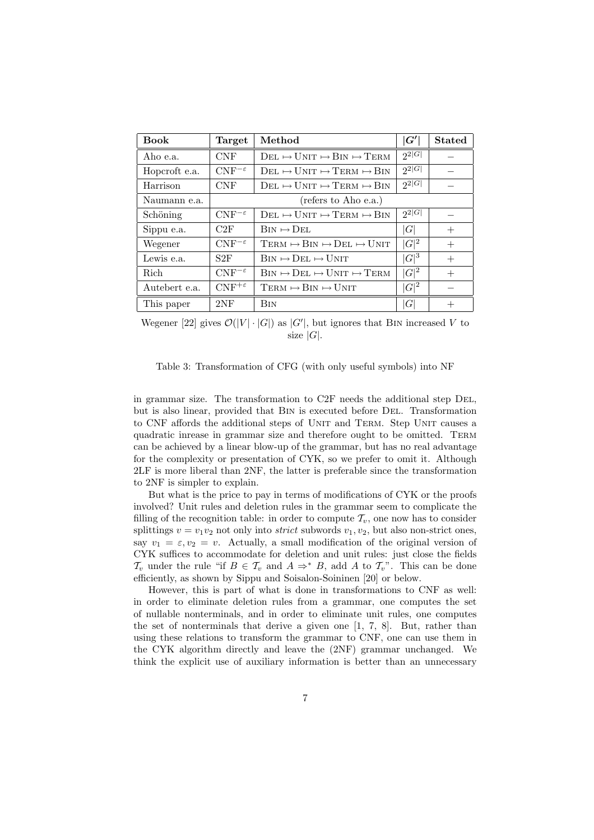| <b>Book</b>   | Target               | Method                                                                  | G'         | <b>Stated</b> |
|---------------|----------------------|-------------------------------------------------------------------------|------------|---------------|
| Aho e.a.      | <b>CNF</b>           | $DEL \mapsto UNIT \mapsto BIN \mapsto TERM$                             | $2^{2 G }$ |               |
| Hopcroft e.a. | $CNF^{-\varepsilon}$ | $Det \mapsto UNIT \mapsto TERM \mapsto BIN$                             | $2^{2 G }$ |               |
| Harrison      | <b>CNF</b>           | $Det \mapsto UNIT \mapsto TERM \mapsto BIN$                             | $2^2 G $   |               |
| Naumann e.a.  |                      | (refers to Aho e.a.)                                                    |            |               |
| Schöning      | $CNF^{-\varepsilon}$ | $Det \mapsto UNIT \mapsto TERM \mapsto BIN$                             | $2^{2 G }$ |               |
| Sippu e.a.    | C2F                  | $\text{Bin} \mapsto \text{Det}.$                                        | G          | $^{+}$        |
| Wegener       | $CNF^{-\varepsilon}$ | $TERM \rightarrow BIN \rightarrow DEL \rightarrow UNIT$                 | $ G ^2$    | $^{+}$        |
| Lewis e.a.    | S2F                  | $\text{Bin} \mapsto \text{DEL} \mapsto \text{UNIT}$                     | $ G ^3$    | $^{+}$        |
| Rich          | $CNF^{-\varepsilon}$ | $\text{Bin} \mapsto \text{DEL} \mapsto \text{UNIT} \mapsto \text{TERM}$ | $ G ^2$    | $^{+}$        |
| Autebert e.a. | $CNF^{+\varepsilon}$ | $TERM \mapsto BIN \mapsto UNIT$                                         | $ G ^2$    |               |
| This paper    | 2NF                  | <b>BIN</b>                                                              | lG         | $^{+}$        |

Wegener [22] gives  $\mathcal{O}(|V| \cdot |G|)$  as  $|G'|$ , but ignores that BIN increased V to size  $|G|$ .

Table 3: Transformation of CFG (with only useful symbols) into NF

in grammar size. The transformation to C2F needs the additional step Del, but is also linear, provided that Bin is executed before Del. Transformation to CNF affords the additional steps of UNIT and TERM. Step UNIT causes a quadratic inrease in grammar size and therefore ought to be omitted. Term can be achieved by a linear blow-up of the grammar, but has no real advantage for the complexity or presentation of CYK, so we prefer to omit it. Although 2LF is more liberal than 2NF, the latter is preferable since the transformation to 2NF is simpler to explain.

But what is the price to pay in terms of modifications of CYK or the proofs involved? Unit rules and deletion rules in the grammar seem to complicate the filling of the recognition table: in order to compute  $\mathcal{T}_v$ , one now has to consider splittings  $v = v_1v_2$  not only into *strict* subwords  $v_1, v_2$ , but also non-strict ones, say  $v_1 = \varepsilon, v_2 = v$ . Actually, a small modification of the original version of CYK suffices to accommodate for deletion and unit rules: just close the fields  $\mathcal{T}_v$  under the rule "if  $B \in \mathcal{T}_v$  and  $A \Rightarrow^* B$ , add A to  $\mathcal{T}_v$ ". This can be done efficiently, as shown by Sippu and Soisalon-Soininen [20] or below.

However, this is part of what is done in transformations to CNF as well: in order to eliminate deletion rules from a grammar, one computes the set of nullable nonterminals, and in order to eliminate unit rules, one computes the set of nonterminals that derive a given one [1, 7, 8]. But, rather than using these relations to transform the grammar to CNF, one can use them in the CYK algorithm directly and leave the (2NF) grammar unchanged. We think the explicit use of auxiliary information is better than an unnecessary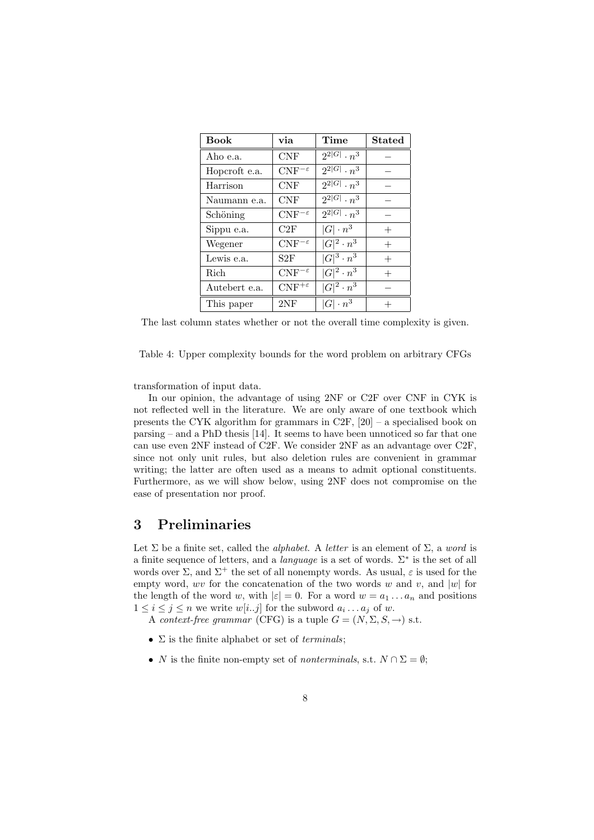| <b>Book</b>   | via                  | Time                 | <b>Stated</b> |
|---------------|----------------------|----------------------|---------------|
| Aho e.a.      | <b>CNF</b>           | $2^{2 G } \cdot n^3$ |               |
| Hopcroft e.a. | $CNF^{-\varepsilon}$ | $2^{2 G } \cdot n^3$ |               |
| Harrison      | <b>CNF</b>           | $2^{2 G } \cdot n^3$ |               |
| Naumann e.a.  | <b>CNF</b>           | $2^{2 G } \cdot n^3$ |               |
| Schöning      | $CNF^{-\varepsilon}$ | $2^{2 G } \cdot n^3$ |               |
| Sippu e.a.    | C2F                  | $ G  \cdot n^3$      | $^{+}$        |
| Wegener       | $CNF^{-\varepsilon}$ | $ G ^2\cdot n^3$     | $^{+}$        |
| Lewis e.a.    | S2F                  | $ G ^3 \cdot n^3$    | $^{+}$        |
| Rich          | $CNF^{-\varepsilon}$ | $ G ^2\cdot n^3$     |               |
| Autebert e.a. | $CNF^{+\varepsilon}$ | $ G ^2 \cdot n^3$    |               |
| This paper    | 2NF                  | $ G  \cdot n^3$      |               |

The last column states whether or not the overall time complexity is given.

Table 4: Upper complexity bounds for the word problem on arbitrary CFGs

transformation of input data.

In our opinion, the advantage of using 2NF or C2F over CNF in CYK is not reflected well in the literature. We are only aware of one textbook which presents the CYK algorithm for grammars in C2F, [20] – a specialised book on parsing – and a PhD thesis [14]. It seems to have been unnoticed so far that one can use even 2NF instead of C2F. We consider 2NF as an advantage over C2F, since not only unit rules, but also deletion rules are convenient in grammar writing; the latter are often used as a means to admit optional constituents. Furthermore, as we will show below, using 2NF does not compromise on the ease of presentation nor proof.

# 3 Preliminaries

Let  $\Sigma$  be a finite set, called the *alphabet*. A *letter* is an element of  $\Sigma$ , a *word* is a finite sequence of letters, and a *language* is a set of words.  $\Sigma^*$  is the set of all words over  $\Sigma$ , and  $\Sigma^+$  the set of all nonempty words. As usual,  $\varepsilon$  is used for the empty word, wv for the concatenation of the two words w and v, and |w| for the length of the word w, with  $|\varepsilon| = 0$ . For a word  $w = a_1 \dots a_n$  and positions  $1 \leq i \leq j \leq n$  we write  $w[i..j]$  for the subword  $a_i \dots a_j$  of w.

A context-free grammar (CFG) is a tuple  $G = (N, \Sigma, S, \rightarrow)$  s.t.

- $\Sigma$  is the finite alphabet or set of *terminals*:
- N is the finite non-empty set of *nonterminals*, s.t.  $N \cap \Sigma = \emptyset$ ;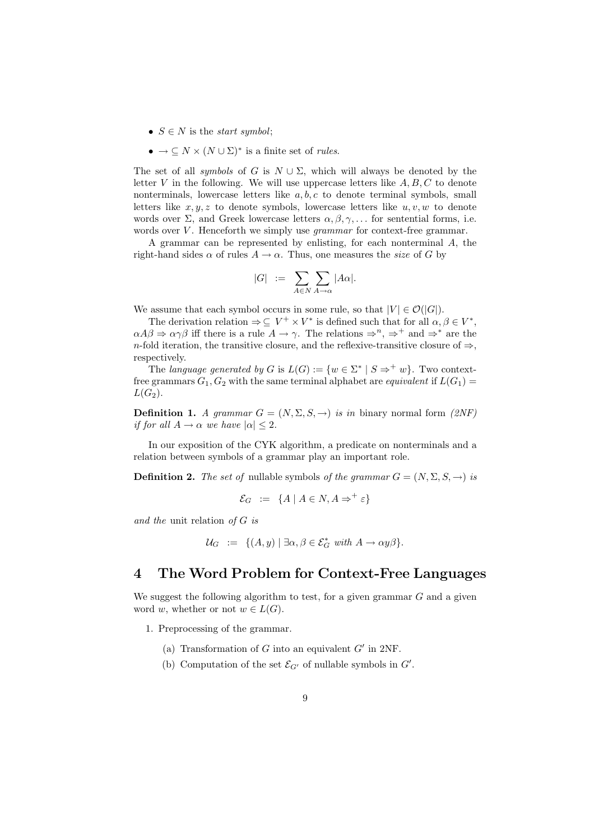- $S \in N$  is the *start symbol*;
- $\bullet \rightarrow \subseteq N \times (N \cup \Sigma)^*$  is a finite set of *rules*.

The set of all *symbols* of G is  $N \cup \Sigma$ , which will always be denoted by the letter  $V$  in the following. We will use uppercase letters like  $A, B, C$  to denote nonterminals, lowercase letters like  $a, b, c$  to denote terminal symbols, small letters like  $x, y, z$  to denote symbols, lowercase letters like  $u, v, w$  to denote words over  $\Sigma$ , and Greek lowercase letters  $\alpha, \beta, \gamma, \ldots$  for sentential forms, i.e. words over  $V$ . Henceforth we simply use *grammar* for context-free grammar.

A grammar can be represented by enlisting, for each nonterminal A, the right-hand sides  $\alpha$  of rules  $A \to \alpha$ . Thus, one measures the size of G by

$$
|G| \ := \ \sum_{A \in N} \sum_{A \to \alpha} |A\alpha|.
$$

We assume that each symbol occurs in some rule, so that  $|V| \in \mathcal{O}(|G|)$ .

The derivation relation  $\Rightarrow \subseteq V^+ \times V^*$  is defined such that for all  $\alpha, \beta \in V^*$ ,  $\alpha A\beta \Rightarrow \alpha \gamma \beta$  iff there is a rule  $A \rightarrow \gamma$ . The relations  $\Rightarrow^n, \Rightarrow^+$  and  $\Rightarrow^*$  are the n-fold iteration, the transitive closure, and the reflexive-transitive closure of  $\Rightarrow$ . respectively.

The language generated by G is  $L(G) := \{w \in \Sigma^* \mid S \Rightarrow^+ w\}$ . Two contextfree grammars  $G_1, G_2$  with the same terminal alphabet are *equivalent* if  $L(G_1)$  =  $L(G_2)$ .

**Definition 1.** A grammar  $G = (N, \Sigma, S, \rightarrow)$  is in binary normal form  $(2NF)$ if for all  $A \rightarrow \alpha$  we have  $|\alpha| \leq 2$ .

In our exposition of the CYK algorithm, a predicate on nonterminals and a relation between symbols of a grammar play an important role.

**Definition 2.** The set of nullable symbols of the grammar  $G = (N, \Sigma, S, \rightarrow)$  is

$$
\mathcal{E}_G := \{ A \mid A \in N, A \Rightarrow^+ \varepsilon \}
$$

and the unit relation of G is

$$
\mathcal{U}_G := \{ (A, y) \mid \exists \alpha, \beta \in \mathcal{E}_G^* \text{ with } A \to \alpha y \beta \}.
$$

## 4 The Word Problem for Context-Free Languages

We suggest the following algorithm to test, for a given grammar  $G$  and a given word w, whether or not  $w \in L(G)$ .

1. Preprocessing of the grammar.

- (a) Transformation of  $G$  into an equivalent  $G'$  in 2NF.
- (b) Computation of the set  $\mathcal{E}_{G'}$  of nullable symbols in  $G'$ .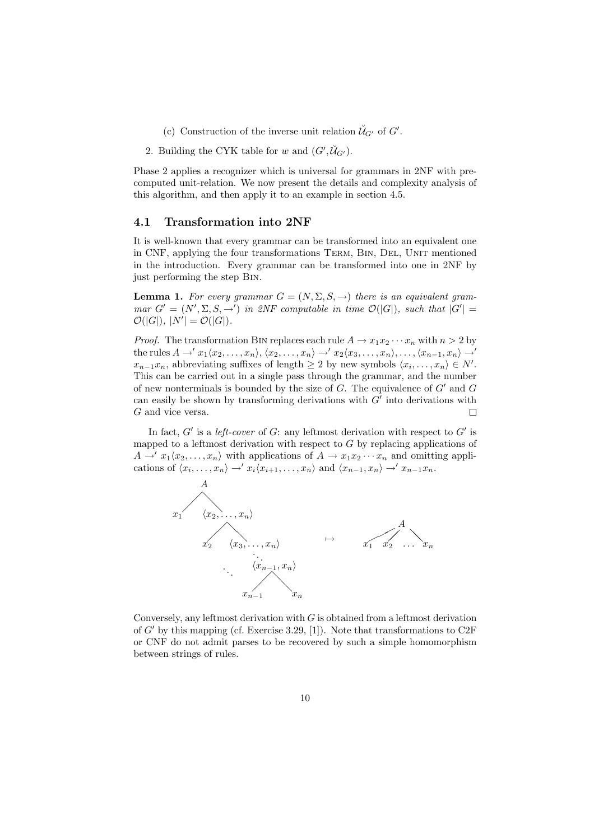- (c) Construction of the inverse unit relation  $\check{\mathcal{U}}_{G'}$  of  $G'$ .
- 2. Building the CYK table for w and  $(G', \check{\mathcal{U}}_{G'})$ .

Phase 2 applies a recognizer which is universal for grammars in 2NF with precomputed unit-relation. We now present the details and complexity analysis of this algorithm, and then apply it to an example in section 4.5.

#### 4.1 Transformation into 2NF

It is well-known that every grammar can be transformed into an equivalent one in CNF, applying the four transformations Term, Bin, Del, Unit mentioned in the introduction. Every grammar can be transformed into one in 2NF by just performing the step Bin.

**Lemma 1.** For every grammar  $G = (N, \Sigma, S, \rightarrow)$  there is an equivalent grammar  $G' = (N', \Sigma, S, \rightarrow')$  in 2NF computable in time  $\mathcal{O}(|G|)$ , such that  $|G'| =$  $\mathcal{O}(|G|), |N'| = \mathcal{O}(|G|).$ 

*Proof.* The transformation BIN replaces each rule  $A \to x_1 x_2 \cdots x_n$  with  $n > 2$  by the rules  $A \to x_1\langle x_2, \ldots, x_n \rangle$ ,  $\langle x_2, \ldots, x_n \rangle \to x_2\langle x_3, \ldots, x_n \rangle$ , ...,  $\langle x_{n-1}, x_n \rangle \to'$  $x_{n-1}x_n$ , abbreviating suffixes of length  $\geq 2$  by new symbols  $\langle x_i, \ldots, x_n \rangle \in N'.$ This can be carried out in a single pass through the grammar, and the number of new nonterminals is bounded by the size of  $G$ . The equivalence of  $G'$  and  $G$ can easily be shown by transforming derivations with  $G'$  into derivations with G and vice versa.  $\Box$ 

In fact,  $G'$  is a left-cover of G: any leftmost derivation with respect to  $G'$  is mapped to a leftmost derivation with respect to  $G$  by replacing applications of  $A \to x_1 \langle x_2, \ldots, x_n \rangle$  with applications of  $A \to x_1 x_2 \cdots x_n$  and omitting applications of  $\langle x_i, \ldots, x_n \rangle \rightarrow' x_i \langle x_{i+1}, \ldots, x_n \rangle$  and  $\langle x_{n-1}, x_n \rangle \rightarrow' x_{n-1}x_n$ .



Conversely, any leftmost derivation with  $G$  is obtained from a leftmost derivation of  $G'$  by this mapping (cf. Exercise 3.29, [1]). Note that transformations to C2F or CNF do not admit parses to be recovered by such a simple homomorphism between strings of rules.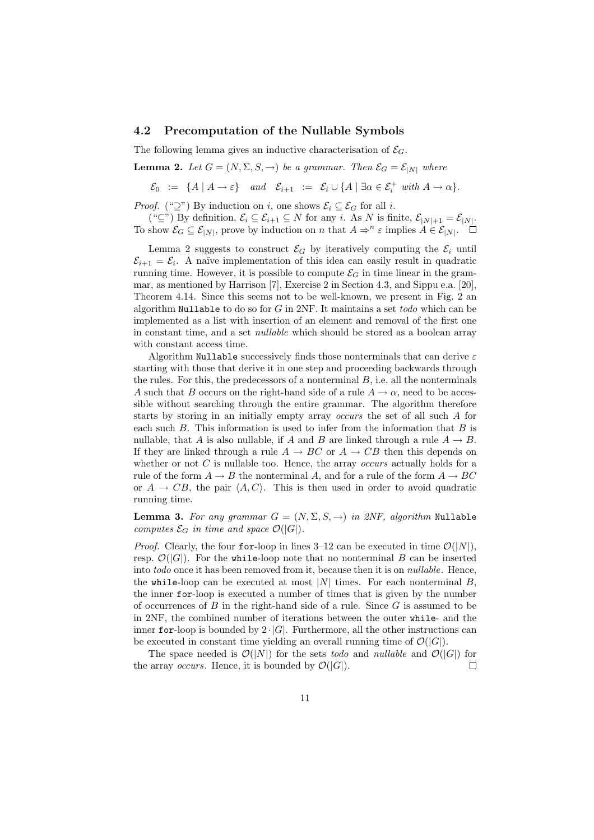#### 4.2 Precomputation of the Nullable Symbols

The following lemma gives an inductive characterisation of  $\mathcal{E}_G$ .

**Lemma 2.** Let  $G = (N, \Sigma, S, \rightarrow)$  be a grammar. Then  $\mathcal{E}_G = \mathcal{E}_{|N|}$  where

 $\mathcal{E}_0 \ := \ \{A \mid A \to \varepsilon\} \quad \text{and} \quad \mathcal{E}_{i+1} \ := \ \mathcal{E}_i \cup \{A \mid \exists \alpha \in \mathcal{E}_i^+ \ \text{with} \ A \to \alpha\}.$ 

*Proof.* (" $\supseteq$ ") By induction on *i*, one shows  $\mathcal{E}_i \subseteq \mathcal{E}_G$  for all *i*.

(" $\subseteq$ ") By definition,  $\mathcal{E}_i \subseteq \mathcal{E}_{i+1} \subseteq N$  for any i. As N is finite,  $\mathcal{E}_{|N|+1} = \mathcal{E}_{|N|}$ . To show  $\mathcal{E}_G \subseteq \mathcal{E}_{|N|}$ , prove by induction on n that  $A \Rightarrow^n \varepsilon$  implies  $A \in \mathcal{E}_{|N|}$ .

Lemma 2 suggests to construct  $\mathcal{E}_G$  by iteratively computing the  $\mathcal{E}_i$  until  $\mathcal{E}_{i+1} = \mathcal{E}_i$ . A naïve implementation of this idea can easily result in quadratic running time. However, it is possible to compute  $\mathcal{E}_G$  in time linear in the grammar, as mentioned by Harrison [7], Exercise 2 in Section 4.3, and Sippu e.a. [20], Theorem 4.14. Since this seems not to be well-known, we present in Fig. 2 an algorithm Nullable to do so for  $G$  in 2NF. It maintains a set todo which can be implemented as a list with insertion of an element and removal of the first one in constant time, and a set nullable which should be stored as a boolean array with constant access time.

Algorithm Nullable successively finds those nonterminals that can derive  $\varepsilon$ starting with those that derive it in one step and proceeding backwards through the rules. For this, the predecessors of a nonterminal  $B$ , i.e. all the nonterminals A such that B occurs on the right-hand side of a rule  $A \to \alpha$ , need to be accessible without searching through the entire grammar. The algorithm therefore starts by storing in an initially empty array occurs the set of all such A for each such  $B$ . This information is used to infer from the information that  $B$  is nullable, that A is also nullable, if A and B are linked through a rule  $A \rightarrow B$ . If they are linked through a rule  $A \rightarrow BC$  or  $A \rightarrow CB$  then this depends on whether or not  $C$  is nullable too. Hence, the array *occurs* actually holds for a rule of the form  $A \to B$  the nonterminal A, and for a rule of the form  $A \to BC$ or  $A \rightarrow CB$ , the pair  $\langle A, C \rangle$ . This is then used in order to avoid quadratic running time.

**Lemma 3.** For any grammar  $G = (N, \Sigma, S, \rightarrow)$  in 2NF, algorithm Nullable computes  $\mathcal{E}_G$  in time and space  $\mathcal{O}(|G|)$ .

*Proof.* Clearly, the four for-loop in lines 3–12 can be executed in time  $\mathcal{O}(|N|)$ , resp.  $\mathcal{O}(|G|)$ . For the while-loop note that no nonterminal B can be inserted into todo once it has been removed from it, because then it is on nullable. Hence, the while-loop can be executed at most  $|N|$  times. For each nonterminal  $B$ , the inner for-loop is executed a number of times that is given by the number of occurrences of  $B$  in the right-hand side of a rule. Since  $G$  is assumed to be in 2NF, the combined number of iterations between the outer while- and the inner for-loop is bounded by  $2 \cdot |G|$ . Furthermore, all the other instructions can be executed in constant time yielding an overall running time of  $\mathcal{O}(|G|)$ .

The space needed is  $\mathcal{O}(|N|)$  for the sets todo and nullable and  $\mathcal{O}(|G|)$  for the array *occurs*. Hence, it is bounded by  $\mathcal{O}(|G|)$ .  $\Box$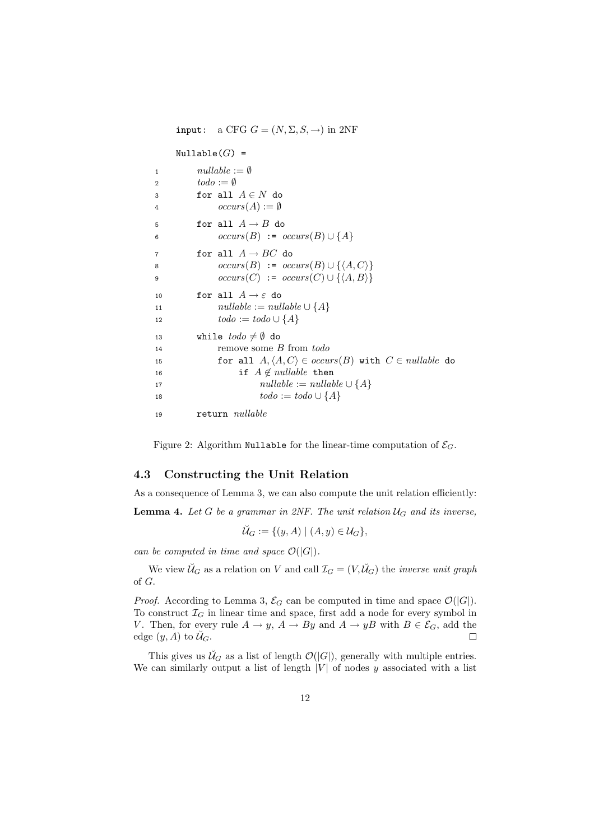input: a CFG  $G = (N, \Sigma, S, \rightarrow)$  in 2NF  $\texttt{Nullable}(G) =$ 1  $nullable := \emptyset$ 2  $todo := \emptyset$ 3 for all  $A \in N$  do 4  $occurs(A) := \emptyset$ 5 for all  $A \rightarrow B$  do 6  $occurs(B) := occurs(B) \cup \{A\}$ 7 for all  $A \rightarrow BC$  do 8  $occurs(B) := occurs(B) \cup \{ \langle A, C \rangle \}$ 9  $occurs(C) := occurs(C) \cup \{\langle A, B \rangle\}$ 10 for all  $A \rightarrow \varepsilon$  do 11  $nullable := nullable \cup \{A\}$ 12  $\text{todo} := \text{todo} \cup \{A\}$ 13 while  $todo \neq \emptyset$  do <sup>14</sup> remove some B from todo 15 for all  $A, \langle A, C \rangle \in occurs(B)$  with  $C \in nullable$  do 16 if  $A \notin nullable$  then 17  $nullable := nullable \cup \{A\}$ 18  $\text{todo} := \text{todo} \cup \{A\}$ 19 return *nullable* 

Figure 2: Algorithm Nullable for the linear-time computation of  $\mathcal{E}_G$ .

## 4.3 Constructing the Unit Relation

As a consequence of Lemma 3, we can also compute the unit relation efficiently: **Lemma 4.** Let G be a grammar in 2NF. The unit relation  $U_G$  and its inverse,

$$
\breve{\mathcal{U}}_G := \{ (y, A) \mid (A, y) \in \mathcal{U}_G \},
$$

can be computed in time and space  $\mathcal{O}(|G|)$ .

We view  $\breve{\mathcal{U}}_G$  as a relation on V and call  $\mathcal{I}_G = (V, \breve{\mathcal{U}}_G)$  the *inverse unit graph* of G.

*Proof.* According to Lemma 3,  $\mathcal{E}_G$  can be computed in time and space  $\mathcal{O}(|G|)$ . To construct  $\mathcal{I}_G$  in linear time and space, first add a node for every symbol in V. Then, for every rule  $A \to y$ ,  $A \to By$  and  $A \to yB$  with  $B \in \mathcal{E}_G$ , add the edge  $(y, A)$  to  $\mathcal{U}_G$ .  $\Box$ 

This gives us  $\check{\mathcal{U}}_G$  as a list of length  $\mathcal{O}(|G|)$ , generally with multiple entries. We can similarly output a list of length  $|V|$  of nodes y associated with a list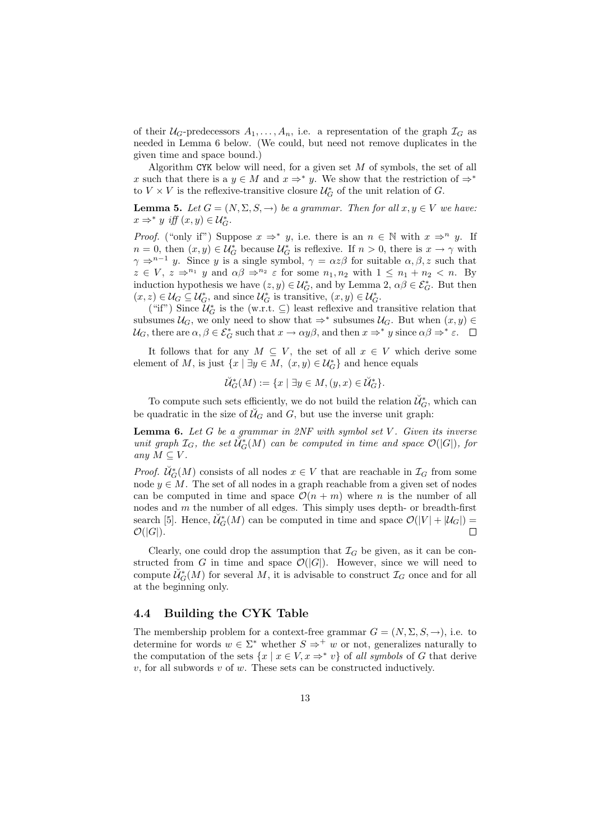of their  $U_G$ -predecessors  $A_1, \ldots, A_n$ , i.e. a representation of the graph  $\mathcal{I}_G$  as needed in Lemma 6 below. (We could, but need not remove duplicates in the given time and space bound.)

Algorithm CYK below will need, for a given set  $M$  of symbols, the set of all x such that there is a  $y \in M$  and  $x \Rightarrow^* y$ . We show that the restriction of  $\Rightarrow^*$ to  $V \times V$  is the reflexive-transitive closure  $\mathcal{U}_G^*$  of the unit relation of  $G$ .

**Lemma 5.** Let  $G = (N, \Sigma, S, \rightarrow)$  be a grammar. Then for all  $x, y \in V$  we have:  $x \Rightarrow^* y \text{ iff } (x, y) \in \mathcal{U}_G^*$ .

*Proof.* ("only if") Suppose  $x \Rightarrow^* y$ , i.e. there is an  $n \in \mathbb{N}$  with  $x \Rightarrow^n y$ . If  $n = 0$ , then  $(x, y) \in \mathcal{U}_G^*$  because  $\mathcal{U}_G^*$  is reflexive. If  $n > 0$ , there is  $x \to \gamma$  with  $\gamma \Rightarrow^{n-1} y$ . Since y is a single symbol,  $\gamma = \alpha z \beta$  for suitable  $\alpha, \beta, z$  such that  $z \in V$ ,  $z \Rightarrow^{n_1} y$  and  $\alpha \beta \Rightarrow^{n_2} \varepsilon$  for some  $n_1, n_2$  with  $1 \leq n_1 + n_2 < n$ . By induction hypothesis we have  $(z, y) \in \mathcal{U}_{G}^*$ , and by Lemma  $2, \alpha \beta \in \mathcal{E}_{G}^*$ . But then  $(x, z) \in \mathcal{U}_G \subseteq \mathcal{U}_G^*$ , and since  $\mathcal{U}_G^*$  is transitive,  $(x, y) \in \mathcal{U}_G^*$ .

("if") Since  $\mathcal{U}_{G}^{*}$  is the (w.r.t.  $\subseteq$ ) least reflexive and transitive relation that subsumes  $\mathcal{U}_G$ , we only need to show that  $\Rightarrow^*$  subsumes  $\mathcal{U}_G$ . But when  $(x, y) \in$  $\mathcal{U}_G$ , there are  $\alpha, \beta \in \mathcal{E}_G^*$  such that  $x \to \alpha y \beta$ , and then  $x \Rightarrow^* y$  since  $\alpha \beta \Rightarrow^* \varepsilon$ .

It follows that for any  $M \subseteq V$ , the set of all  $x \in V$  which derive some element of M, is just  $\{x \mid \exists y \in M, (x, y) \in \mathcal{U}_G^*\}$  and hence equals

$$
\breve{\mathcal{U}}^*_{G}(M) := \{ x \mid \exists y \in M, (y, x) \in \breve{\mathcal{U}}^*_{G} \}.
$$

To compute such sets efficiently, we do not build the relation  $\check{\mathcal{U}}_G^*$ , which can be quadratic in the size of  $\mathcal{U}_G$  and G, but use the inverse unit graph:

**Lemma 6.** Let  $G$  be a grammar in  $2NF$  with symbol set  $V$ . Given its inverse unit graph  $\mathcal{I}_G$ , the set  $\check{\mathcal{U}}^*_{G}(M)$  can be computed in time and space  $\mathcal{O}(|G|)$ , for any  $M \subseteq V$ .

*Proof.*  $\check{\mathcal{U}}^*_{G}(M)$  consists of all nodes  $x \in V$  that are reachable in  $\mathcal{I}_G$  from some node  $y \in M$ . The set of all nodes in a graph reachable from a given set of nodes can be computed in time and space  $\mathcal{O}(n + m)$  where n is the number of all nodes and m the number of all edges. This simply uses depth- or breadth-first search [5]. Hence,  $\check{\mathcal{U}}^*_{G}(M)$  can be computed in time and space  $\mathcal{O}(|V| + |\mathcal{U}_G|) =$  $\mathcal{O}(|G|)$ .

Clearly, one could drop the assumption that  $\mathcal{I}_G$  be given, as it can be constructed from G in time and space  $\mathcal{O}(|G|)$ . However, since we will need to compute  $\check{\mathcal{U}}^*_{G}(M)$  for several M, it is advisable to construct  $\mathcal{I}_G$  once and for all at the beginning only.

#### 4.4 Building the CYK Table

The membership problem for a context-free grammar  $G = (N, \Sigma, S, \rightarrow)$ , i.e. to determine for words  $w \in \Sigma^*$  whether  $S \Rightarrow^+ w$  or not, generalizes naturally to the computation of the sets  $\{x \mid x \in V, x \Rightarrow^* v\}$  of all symbols of G that derive  $v$ , for all subwords  $v$  of  $w$ . These sets can be constructed inductively.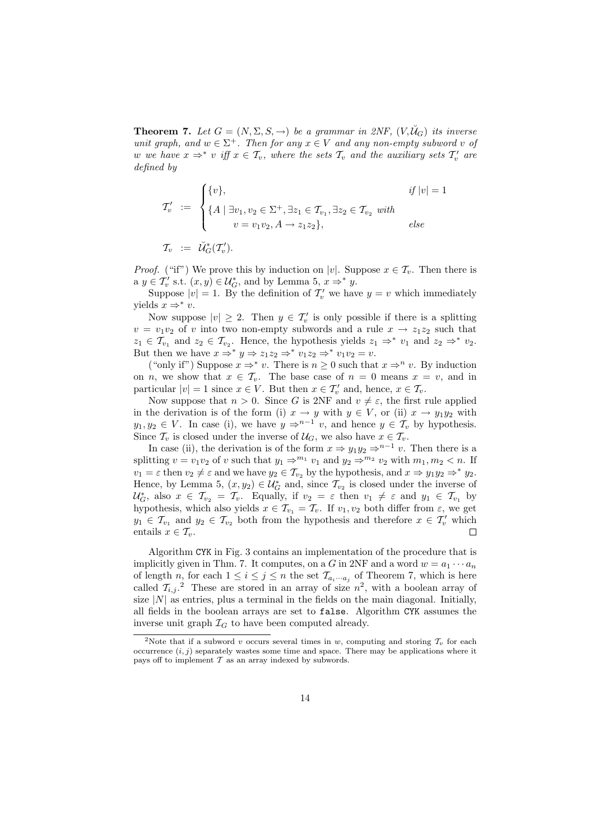**Theorem 7.** Let  $G = (N, \Sigma, S, \rightarrow)$  be a grammar in 2NF,  $(V, \check{U}_G)$  its inverse unit graph, and  $w \in \Sigma^+$ . Then for any  $x \in V$  and any non-empty subword v of w we have  $x \Rightarrow^* v$  iff  $x \in \mathcal{T}_v$ , where the sets  $\mathcal{T}_v$  and the auxiliary sets  $\mathcal{T}'_v$  are defined by

$$
\mathcal{T}'_v := \begin{cases} \{v\}, & if |v| = 1 \\ \{A \mid \exists v_1, v_2 \in \Sigma^+, \exists z_1 \in \mathcal{T}_{v_1}, \exists z_2 \in \mathcal{T}_{v_2} \text{ with} \\ v = v_1 v_2, A \to z_1 z_2 \}, & else \end{cases}
$$

 $\mathcal{T}_v \;\;:=\;\; \breve{\mathcal{U}}_G^*(\mathcal{T}_{v}').$ 

*Proof.* ("if") We prove this by induction on |v|. Suppose  $x \in \mathcal{T}_v$ . Then there is a  $y \in \mathcal{T}'_v$  s.t.  $(x, y) \in \mathcal{U}^*_{G}$ , and by Lemma 5,  $x \Rightarrow^* y$ .

Suppose  $|v| = 1$ . By the definition of  $\mathcal{T}'_v$  we have  $y = v$  which immediately yields  $x \Rightarrow^* v$ .

Now suppose  $|v| \geq 2$ . Then  $y \in \mathcal{T}'_v$  is only possible if there is a splitting  $v = v_1v_2$  of v into two non-empty subwords and a rule  $x \to z_1z_2$  such that  $z_1 \in \mathcal{T}_{v_1}$  and  $z_2 \in \mathcal{T}_{v_2}$ . Hence, the hypothesis yields  $z_1 \Rightarrow^* v_1$  and  $z_2 \Rightarrow^* v_2$ . But then we have  $x \Rightarrow^* y \Rightarrow z_1 z_2 \Rightarrow^* v_1 z_2 \Rightarrow^* v_1 v_2 = v$ .

("only if") Suppose  $x \Rightarrow^* v$ . There is  $n \geq 0$  such that  $x \Rightarrow^n v$ . By induction on *n*, we show that  $x \in \mathcal{T}_v$ . The base case of  $n = 0$  means  $x = v$ , and in particular  $|v| = 1$  since  $x \in V$ . But then  $x \in \mathcal{T}'_v$  and, hence,  $x \in \mathcal{T}_v$ .

Now suppose that  $n > 0$ . Since G is 2NF and  $v \neq \varepsilon$ , the first rule applied in the derivation is of the form (i)  $x \to y$  with  $y \in V$ , or (ii)  $x \to y_1y_2$  with y<sub>1</sub>, y<sub>2</sub> ∈ V. In case (i), we have  $y \Rightarrow^{n-1} v$ , and hence  $y \in \mathcal{T}_v$  by hypothesis. Since  $\mathcal{T}_v$  is closed under the inverse of  $\mathcal{U}_G$ , we also have  $x \in \mathcal{T}_v$ .

In case (ii), the derivation is of the form  $x \Rightarrow y_1y_2 \Rightarrow^{n-1} v$ . Then there is a splitting  $v = v_1v_2$  of v such that  $y_1 \Rightarrow^{m_1} v_1$  and  $y_2 \Rightarrow^{m_2} v_2$  with  $m_1, m_2 < n$ . If  $v_1 = \varepsilon$  then  $v_2 \neq \varepsilon$  and we have  $y_2 \in \mathcal{T}_{v_2}$  by the hypothesis, and  $x \Rightarrow y_1y_2 \Rightarrow^* y_2$ . Hence, by Lemma 5,  $(x, y_2) \in \mathcal{U}_G^*$  and, since  $\mathcal{T}_{v_2}$  is closed under the inverse of  $\mathcal{U}_G^*$ , also  $x \in \mathcal{T}_{v_2} = \mathcal{T}_v$ . Equally, if  $v_2 = \varepsilon$  then  $v_1 \neq \varepsilon$  and  $y_1 \in \mathcal{T}_{v_1}$  by hypothesis, which also yields  $x \in \mathcal{T}_{v_1} = \mathcal{T}_v$ . If  $v_1, v_2$  both differ from  $\varepsilon$ , we get  $y_1 \in \mathcal{T}_{v_1}$  and  $y_2 \in \mathcal{T}_{v_2}$  both from the hypothesis and therefore  $x \in \mathcal{T}'_v$  which entails  $x \in \mathcal{T}_v$ .  $\Box$ 

Algorithm CYK in Fig. 3 contains an implementation of the procedure that is implicitly given in Thm. 7. It computes, on a G in 2NF and a word  $w = a_1 \cdots a_n$ of length n, for each  $1 \leq i \leq j \leq n$  the set  $\mathcal{T}_{a_i \cdots a_j}$  of Theorem 7, which is here called  $\mathcal{T}_{i,j}$ . These are stored in an array of size  $n^2$ , with a boolean array of size  $|N|$  as entries, plus a terminal in the fields on the main diagonal. Initially, all fields in the boolean arrays are set to false. Algorithm CYK assumes the inverse unit graph  $\mathcal{I}_G$  to have been computed already.

<sup>&</sup>lt;sup>2</sup>Note that if a subword v occurs several times in w, computing and storing  $\mathcal{T}_v$  for each occurrence  $(i, j)$  separately wastes some time and space. There may be applications where it pays off to implement  $\mathcal T$  as an array indexed by subwords.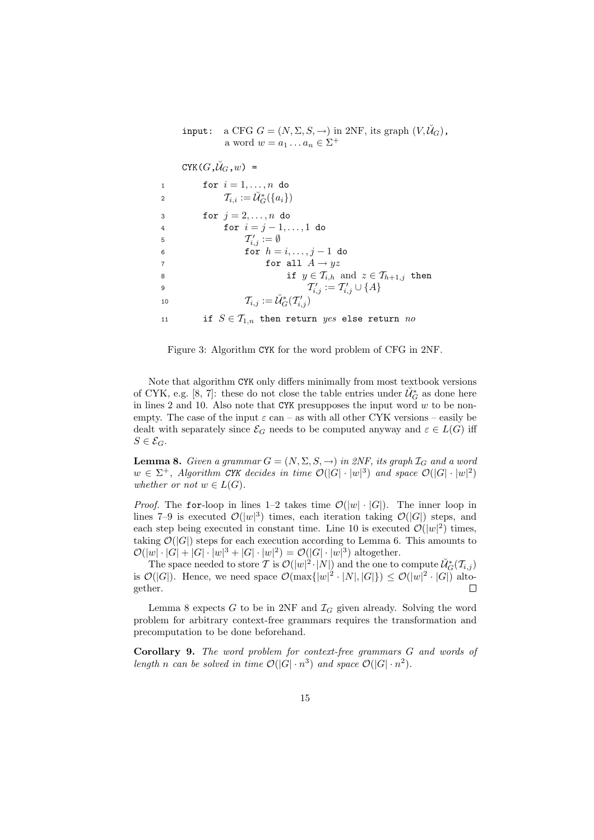input: a CFG  $G = (N, \Sigma, S, \rightarrow)$  in 2NF, its graph  $(V, \breve{\mathcal{U}}_G)$ , a word  $w = a_1 \dots a_n \in \Sigma^+$ 

 $CYK(G,\breve{U}_G,w)$  =

| $\mathbf{1}$   | for $i=1,\ldots,n$ do                                                          |
|----------------|--------------------------------------------------------------------------------|
| $\overline{2}$ | $\mathcal{T}_{i.i} := \check{\mathcal{U}}_{G}^*(\{a_i\})$                      |
| 3              | for $j = 2, \ldots, n$ do                                                      |
| $\overline{4}$ | for $i = j - 1, , 1$ do                                                        |
| 5              | $T'_{i,j} := \emptyset$                                                        |
| 6              | for $h = i, \ldots, j - 1$ do                                                  |
| $\overline{7}$ | for all $A \rightarrow yz$                                                     |
| 8              | if $y \in \mathcal{T}_{i,h}$ and $z \in \mathcal{T}_{h+1,j}$ then              |
| 9              | $T'_{i,j} := T'_{i,j} \cup \{A\}$                                              |
| 10             | $\mathcal{T}_{i,j} := \check{\mathcal{U}}^*_{\mathcal{C}}(\mathcal{T}'_{i,j})$ |
| 11             | if $S \in T_{1,n}$ then return yes else return no                              |

Figure 3: Algorithm CYK for the word problem of CFG in 2NF.

Note that algorithm CYK only differs minimally from most textbook versions of CYK, e.g. [8, 7]: these do not close the table entries under  $\check{\mathcal{U}}^*_{G}$  as done here in lines 2 and 10. Also note that CYK presupposes the input word  $w$  to be nonempty. The case of the input  $\varepsilon$  can – as with all other CYK versions – easily be dealt with separately since  $\mathcal{E}_G$  needs to be computed anyway and  $\varepsilon \in L(G)$  iff  $S \in \mathcal{E}_G$ .

**Lemma 8.** Given a grammar  $G = (N, \Sigma, S, \rightarrow)$  in 2NF, its graph  $\mathcal{I}_G$  and a word  $w \in \Sigma^+$ , Algorithm CYK decides in time  $\mathcal{O}(|G| \cdot |w|^3)$  and space  $\mathcal{O}(|G| \cdot |w|^2)$ whether or not  $w \in L(G)$ .

*Proof.* The for-loop in lines 1–2 takes time  $\mathcal{O}(|w| \cdot |G|)$ . The inner loop in lines 7–9 is executed  $\mathcal{O}(|w|^3)$  times, each iteration taking  $\mathcal{O}(|G|)$  steps, and each step being executed in constant time. Line 10 is executed  $\mathcal{O}(|w|^2)$  times, taking  $\mathcal{O}(|G|)$  steps for each execution according to Lemma 6. This amounts to  $\mathcal{O}(|w| \cdot |G| + |G| \cdot |w|^3 + |G| \cdot |w|^2) = \mathcal{O}(|G| \cdot |w|^3)$  altogether.

The space needed to store  $\mathcal T$  is  $\mathcal O(|w|^2\cdot|N|)$  and the one to compute  $\breve{\mathcal U}_G^*(\mathcal T_{i,j})$ is  $\mathcal{O}(|G|)$ . Hence, we need space  $\mathcal{O}(\max\{|w|^2 \cdot |N|, |G|\}) \leq \mathcal{O}(|w|^2 \cdot |G|)$  altogether.  $\Box$ 

Lemma 8 expects  $G$  to be in 2NF and  $\mathcal{I}_G$  given already. Solving the word problem for arbitrary context-free grammars requires the transformation and precomputation to be done beforehand.

Corollary 9. The word problem for context-free grammars G and words of length n can be solved in time  $\mathcal{O}(|G| \cdot n^3)$  and space  $\mathcal{O}(|G| \cdot n^2)$ .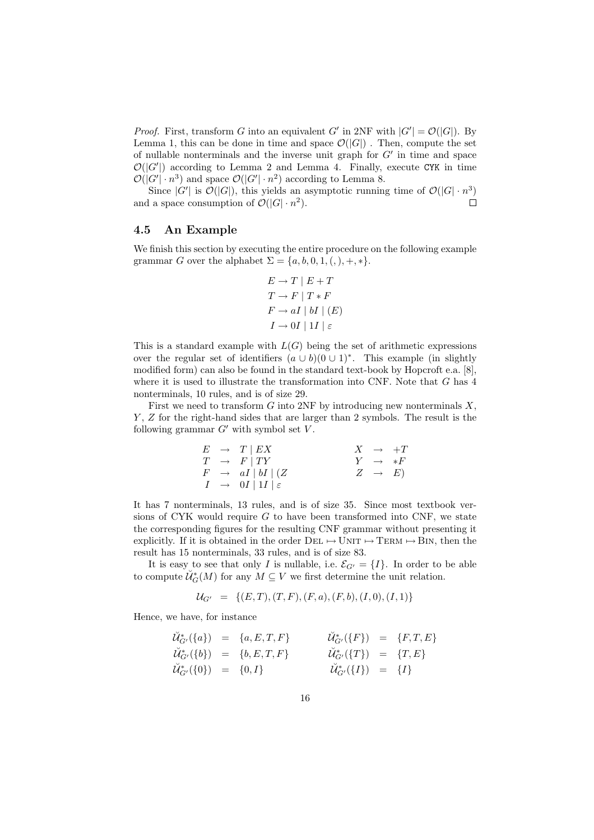*Proof.* First, transform G into an equivalent G' in 2NF with  $|G'| = \mathcal{O}(|G|)$ . By Lemma 1, this can be done in time and space  $\mathcal{O}(|G|)$ . Then, compute the set of nullable nonterminals and the inverse unit graph for  $G'$  in time and space  $\mathcal{O}(|G'|)$  according to Lemma 2 and Lemma 4. Finally, execute CYK in time  $\mathcal{O}(|G'|\cdot n^3)$  and space  $\mathcal{O}(|G'|\cdot n^2)$  according to Lemma 8.

Since  $|G'|$  is  $\mathcal{O}(|G|)$ , this yields an asymptotic running time of  $\mathcal{O}(|G| \cdot n^3)$ and a space consumption of  $\mathcal{O}(|G| \cdot n^2)$ .  $\Box$ 

#### 4.5 An Example

We finish this section by executing the entire procedure on the following example grammar G over the alphabet  $\Sigma = \{a, b, 0, 1, (,) , +, *\}.$ 

$$
E \to T \mid E + T
$$
  
\n
$$
T \to F \mid T * F
$$
  
\n
$$
F \to aI \mid bI \mid (E)
$$
  
\n
$$
I \to 0I \mid 1I \mid \varepsilon
$$

This is a standard example with  $L(G)$  being the set of arithmetic expressions over the regular set of identifiers  $(a \cup b)(0 \cup 1)^*$ . This example (in slightly modified form) can also be found in the standard text-book by Hopcroft e.a. [8], where it is used to illustrate the transformation into CNF. Note that G has 4 nonterminals, 10 rules, and is of size 29.

First we need to transform  $G$  into 2NF by introducing new nonterminals  $X$ , Y, Z for the right-hand sides that are larger than 2 symbols. The result is the following grammar  $G'$  with symbol set  $V$ .

$$
\begin{array}{rcl}\nE & \to & T \mid EX \\
T & \to & F \mid TY \\
F & \to & aI \mid bI \mid (Z \\
I & \to & 0I \mid 1I \mid \varepsilon\n\end{array}\n\qquad\n\begin{array}{rcl}\nX & \to & +T \\
Y & \to & *F \\
Z & \to & E\n\end{array}
$$

It has 7 nonterminals, 13 rules, and is of size 35. Since most textbook versions of CYK would require  $G$  to have been transformed into CNF, we state the corresponding figures for the resulting CNF grammar without presenting it explicitly. If it is obtained in the order  $DEL \rightarrow UNIT \rightarrow TERM \rightarrow BIN$ , then the result has 15 nonterminals, 33 rules, and is of size 83.

It is easy to see that only I is nullable, i.e.  $\mathcal{E}_{G'} = \{I\}$ . In order to be able to compute  $\check{\mathcal{U}}^*_{G}(M)$  for any  $M \subseteq V$  we first determine the unit relation.

$$
\mathcal{U}_{G'} = \{ (E, T), (T, F), (F, a), (F, b), (I, 0), (I, 1) \}
$$

Hence, we have, for instance

$$
\begin{array}{rcl}\n\breve{\mathcal{U}}_{G'}^*(\{a\}) & = & \{a, E, T, F\} \\
\breve{\mathcal{U}}_{G'}^*(\{b\}) & = & \{b, E, T, F\} \\
\breve{\mathcal{U}}_{G'}^*(\{b\}) & = & \{b, E, T, F\} \\
\breve{\mathcal{U}}_{G'}^*(\{0\}) & = & \{0, I\} \\
\end{array}\n\qquad\n\begin{array}{rcl}\n\breve{\mathcal{U}}_{G'}^*(\{F\}) & = & \{F, T, E\} \\
\breve{\mathcal{U}}_{G'}^*(\{I\}) & = & \{I\}\n\end{array}
$$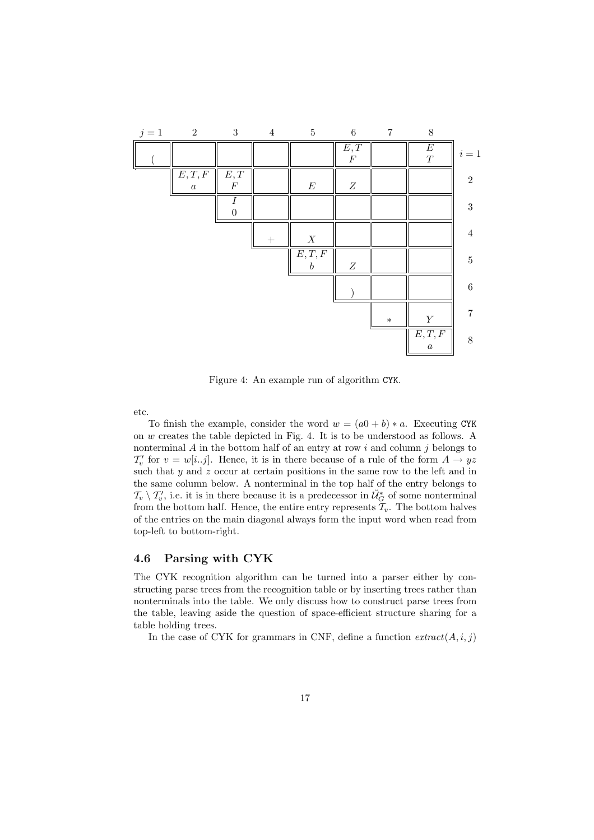

Figure 4: An example run of algorithm CYK.

etc.

To finish the example, consider the word  $w = (a0 + b) * a$ . Executing CYK on w creates the table depicted in Fig. 4. It is to be understood as follows. A nonterminal  $A$  in the bottom half of an entry at row  $i$  and column  $j$  belongs to  $\mathcal{T}'_v$  for  $v = w[i..j]$ . Hence, it is in there because of a rule of the form  $A \to yz$ such that y and z occur at certain positions in the same row to the left and in the same column below. A nonterminal in the top half of the entry belongs to  $\mathcal{T}_{v} \setminus \mathcal{T}'_{v}$ , i.e. it is in there because it is a predecessor in  $\mathcal{U}_{G}^{*}$  of some nonterminal from the bottom half. Hence, the entire entry represents  $\mathcal{T}_v$ . The bottom halves of the entries on the main diagonal always form the input word when read from top-left to bottom-right.

### 4.6 Parsing with CYK

The CYK recognition algorithm can be turned into a parser either by constructing parse trees from the recognition table or by inserting trees rather than nonterminals into the table. We only discuss how to construct parse trees from the table, leaving aside the question of space-efficient structure sharing for a table holding trees.

In the case of CYK for grammars in CNF, define a function  $extract(A, i, j)$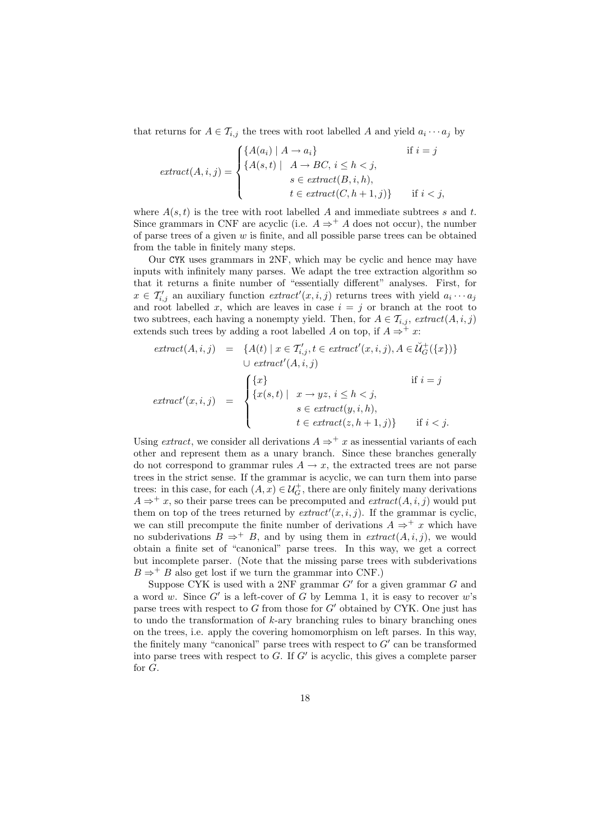that returns for  $A \in \mathcal{T}_{i,j}$  the trees with root labelled A and yield  $a_i \cdots a_j$  by

$$
extract(A, i, j) = \begin{cases} \{A(a_i) \mid A \to a_i\} & \text{if } i = j \\ \{A(s, t) \mid A \to BC, i \le h < j, \\ s \in extract(B, i, h), \\ t \in extract(C, h + 1, j)\} & \text{if } i < j, \end{cases}
$$

where  $A(s,t)$  is the tree with root labelled A and immediate subtrees s and t. Since grammars in CNF are acyclic (i.e.  $A \Rightarrow^+ A$  does not occur), the number of parse trees of a given  $w$  is finite, and all possible parse trees can be obtained from the table in finitely many steps.

Our CYK uses grammars in 2NF, which may be cyclic and hence may have inputs with infinitely many parses. We adapt the tree extraction algorithm so that it returns a finite number of "essentially different" analyses. First, for  $x \in \mathcal{T}'_{i,j}$  an auxiliary function  $extract'(x, i, j)$  returns trees with yield  $a_i \cdots a_j$ and root labelled x, which are leaves in case  $i = j$  or branch at the root to two subtrees, each having a nonempty yield. Then, for  $A \in \mathcal{T}_{i,j}$ ,  $extract(A, i, j)$ extends such trees by adding a root labelled A on top, if  $A \Rightarrow^{+} x$ :

$$
extract(A, i, j) = \{A(t) \mid x \in T'_{i,j}, t \in extract'(x, i, j), A \in \check{U}^+_G(\{x\})\}
$$

$$
\cup extract'(A, i, j)
$$

$$
if i = j
$$

$$
extract'(x, i, j) = \begin{cases} \{x\} & \text{if } i = j \\ \{x(s, t) \mid x \to yz, i \le h < j, \\ s \in extract(y, i, h), \\ t \in extract(z, h + 1, j)\} & \text{if } i < j. \end{cases}
$$

Using *extract*, we consider all derivations  $A \Rightarrow^+ x$  as inessential variants of each other and represent them as a unary branch. Since these branches generally do not correspond to grammar rules  $A \rightarrow x$ , the extracted trees are not parse trees in the strict sense. If the grammar is acyclic, we can turn them into parse trees: in this case, for each  $(A, x) \in \mathcal{U}_G^+$ , there are only finitely many derivations  $A \Rightarrow^{+} x$ , so their parse trees can be precomputed and  $extract(A, i, j)$  would put them on top of the trees returned by  $extract'(x, i, j)$ . If the grammar is cyclic, we can still precompute the finite number of derivations  $A \Rightarrow^+ x$  which have no subderivations  $B \Rightarrow^+ B$ , and by using them in  $extract(A, i, j)$ , we would obtain a finite set of "canonical" parse trees. In this way, we get a correct but incomplete parser. (Note that the missing parse trees with subderivations  $B \Rightarrow^+ B$  also get lost if we turn the grammar into CNF.)

Suppose CYK is used with a 2NF grammar  $G'$  for a given grammar  $G$  and a word w. Since  $G'$  is a left-cover of G by Lemma 1, it is easy to recover w's parse trees with respect to  $G$  from those for  $G'$  obtained by CYK. One just has to undo the transformation of  $k$ -ary branching rules to binary branching ones on the trees, i.e. apply the covering homomorphism on left parses. In this way, the finitely many "canonical" parse trees with respect to  $G'$  can be transformed into parse trees with respect to  $G$ . If  $G'$  is acyclic, this gives a complete parser for G.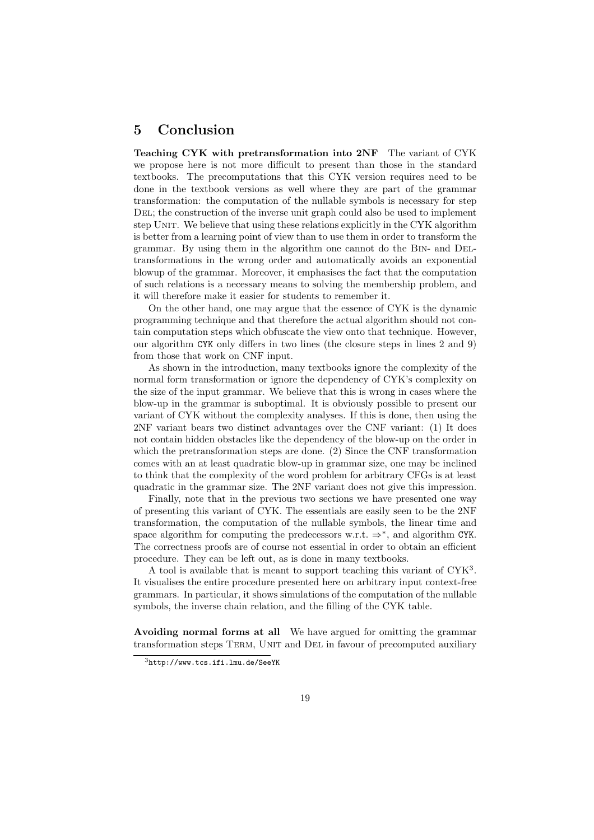# 5 Conclusion

Teaching CYK with pretransformation into 2NF The variant of CYK we propose here is not more difficult to present than those in the standard textbooks. The precomputations that this CYK version requires need to be done in the textbook versions as well where they are part of the grammar transformation: the computation of the nullable symbols is necessary for step DEL; the construction of the inverse unit graph could also be used to implement step Unit. We believe that using these relations explicitly in the CYK algorithm is better from a learning point of view than to use them in order to transform the grammar. By using them in the algorithm one cannot do the Bin- and Deltransformations in the wrong order and automatically avoids an exponential blowup of the grammar. Moreover, it emphasises the fact that the computation of such relations is a necessary means to solving the membership problem, and it will therefore make it easier for students to remember it.

On the other hand, one may argue that the essence of CYK is the dynamic programming technique and that therefore the actual algorithm should not contain computation steps which obfuscate the view onto that technique. However, our algorithm CYK only differs in two lines (the closure steps in lines 2 and 9) from those that work on CNF input.

As shown in the introduction, many textbooks ignore the complexity of the normal form transformation or ignore the dependency of CYK's complexity on the size of the input grammar. We believe that this is wrong in cases where the blow-up in the grammar is suboptimal. It is obviously possible to present our variant of CYK without the complexity analyses. If this is done, then using the 2NF variant bears two distinct advantages over the CNF variant: (1) It does not contain hidden obstacles like the dependency of the blow-up on the order in which the pretransformation steps are done. (2) Since the CNF transformation comes with an at least quadratic blow-up in grammar size, one may be inclined to think that the complexity of the word problem for arbitrary CFGs is at least quadratic in the grammar size. The 2NF variant does not give this impression.

Finally, note that in the previous two sections we have presented one way of presenting this variant of CYK. The essentials are easily seen to be the 2NF transformation, the computation of the nullable symbols, the linear time and space algorithm for computing the predecessors w.r.t.  $\Rightarrow^*$ , and algorithm CYK. The correctness proofs are of course not essential in order to obtain an efficient procedure. They can be left out, as is done in many textbooks.

A tool is available that is meant to support teaching this variant of CYK<sup>3</sup> . It visualises the entire procedure presented here on arbitrary input context-free grammars. In particular, it shows simulations of the computation of the nullable symbols, the inverse chain relation, and the filling of the CYK table.

Avoiding normal forms at all We have argued for omitting the grammar transformation steps TERM, UNIT and DEL in favour of precomputed auxiliary

<sup>3</sup>http://www.tcs.ifi.lmu.de/SeeYK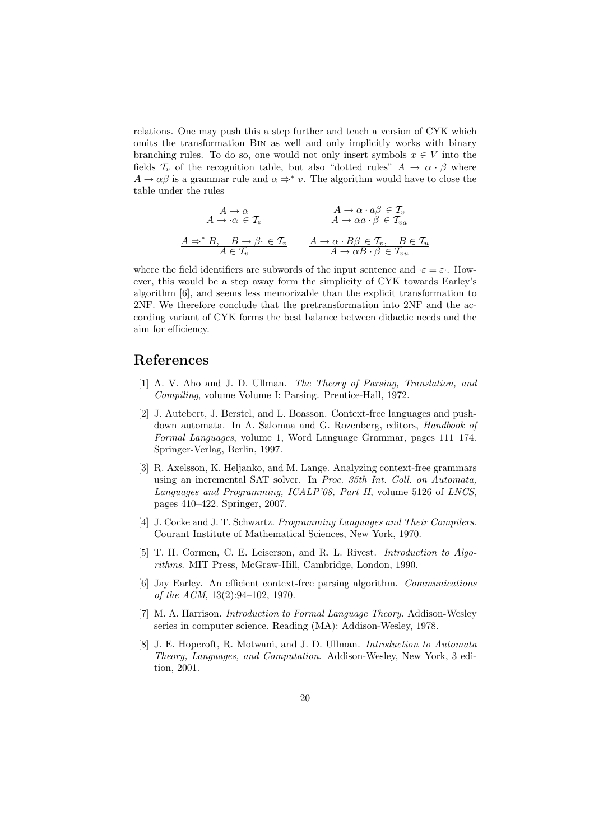relations. One may push this a step further and teach a version of CYK which omits the transformation Bin as well and only implicitly works with binary branching rules. To do so, one would not only insert symbols  $x \in V$  into the fields  $\mathcal{T}_v$  of the recognition table, but also "dotted rules"  $A \rightarrow \alpha \cdot \beta$  where  $A \to \alpha \beta$  is a grammar rule and  $\alpha \Rightarrow^* v$ . The algorithm would have to close the table under the rules

$$
\begin{array}{ccc}\nA \to \alpha & A \to \alpha \cdot a\beta \in \mathcal{T}_v \\
A \to \alpha \in \mathcal{T}_\varepsilon & A \to \alpha \cdot a\beta \in \mathcal{T}_v \\
A \Rightarrow^* B, & B \to \beta \cdot \in \mathcal{T}_v & A \to \alpha \cdot B\beta \in \mathcal{T}_v, & B \in \mathcal{T}_u \\
A \in \mathcal{T}_v & A \to \alpha B \cdot \beta \in \mathcal{T}_{vu}\n\end{array}
$$

where the field identifiers are subwords of the input sentence and  $\cdot \varepsilon = \varepsilon$ . However, this would be a step away form the simplicity of CYK towards Earley's algorithm [6], and seems less memorizable than the explicit transformation to 2NF. We therefore conclude that the pretransformation into 2NF and the according variant of CYK forms the best balance between didactic needs and the aim for efficiency.

## References

- [1] A. V. Aho and J. D. Ullman. The Theory of Parsing, Translation, and Compiling, volume Volume I: Parsing. Prentice-Hall, 1972.
- [2] J. Autebert, J. Berstel, and L. Boasson. Context-free languages and pushdown automata. In A. Salomaa and G. Rozenberg, editors, Handbook of Formal Languages, volume 1, Word Language Grammar, pages 111–174. Springer-Verlag, Berlin, 1997.
- [3] R. Axelsson, K. Heljanko, and M. Lange. Analyzing context-free grammars using an incremental SAT solver. In Proc. 35th Int. Coll. on Automata, Languages and Programming, ICALP'08, Part II, volume 5126 of LNCS, pages 410–422. Springer, 2007.
- [4] J. Cocke and J. T. Schwartz. Programming Languages and Their Compilers. Courant Institute of Mathematical Sciences, New York, 1970.
- [5] T. H. Cormen, C. E. Leiserson, and R. L. Rivest. Introduction to Algorithms. MIT Press, McGraw-Hill, Cambridge, London, 1990.
- [6] Jay Earley. An efficient context-free parsing algorithm. Communications of the ACM, 13(2):94–102, 1970.
- [7] M. A. Harrison. Introduction to Formal Language Theory. Addison-Wesley series in computer science. Reading (MA): Addison-Wesley, 1978.
- [8] J. E. Hopcroft, R. Motwani, and J. D. Ullman. Introduction to Automata Theory, Languages, and Computation. Addison-Wesley, New York, 3 edition, 2001.